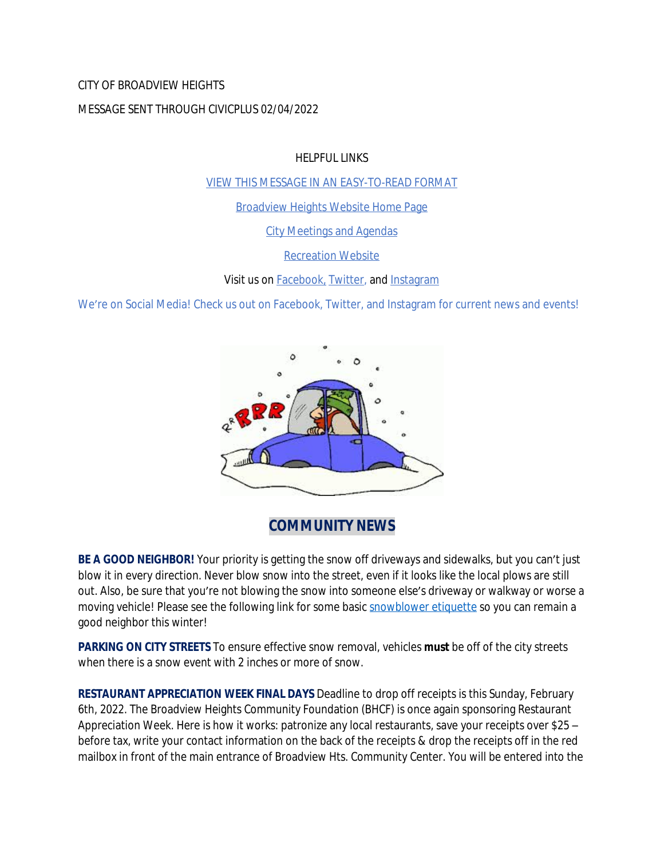### CITY OF BROADVIEW HEIGHTS

### MESSAGE SENT THROUGH CIVICPLUS 02/04/2022

HELPFUL LINKS

[VIEW THIS MESSAGE IN AN EASY-TO-READ FORMAT](https://www.broadview-heights.org/Archive.aspx?AMID=37)

[Broadview Heights Website Home Page](https://www.broadview-heights.org/)

[City Meetings and Agendas](https://www.broadview-heights.org/CivicAlerts.aspx?AID=175)

[Recreation Website](https://broadview-heights.org/292/Parks-Recreation)

Visit us on **Facebook**, **Twitter**, and **[Instagram](https://www.instagram.com/cityofbroadviewheights/)** 

We're on Social Media! Check us out on Facebook, Twitter, and Instagram for current news and events!



**COMMUNITY NEWS**

**BE A GOOD NEIGHBOR!** Your priority is getting the snow off driveways and sidewalks, but you can't just blow it in every direction. Never blow snow into the street, even if it looks like the local plows are still out. Also, be sure that you're not blowing the snow into someone else's driveway or walkway or worse a moving vehicle! Please see the following link for some basic [snowblower etiquette](https://www.broadview-heights.org/DocumentCenter/View/9202/BE-CAREFUL-WHERE-YOU-PUT-THE-SNOW) so you can remain a good neighbor this winter!

**PARKING ON CITY STREETS** To ensure effective snow removal, vehicles **must** be off of the city streets when there is a snow event with 2 inches or more of snow.

**RESTAURANT APPRECIATION WEEK FINAL DAYS** Deadline to drop off receipts is this Sunday, February 6th, 2022. The Broadview Heights Community Foundation (BHCF) is once again sponsoring Restaurant Appreciation Week. Here is how it works: patronize any local restaurants, save your receipts over \$25 – before tax, write your contact information on the back of the receipts & drop the receipts off in the red mailbox in front of the main entrance of Broadview Hts. Community Center. You will be entered into the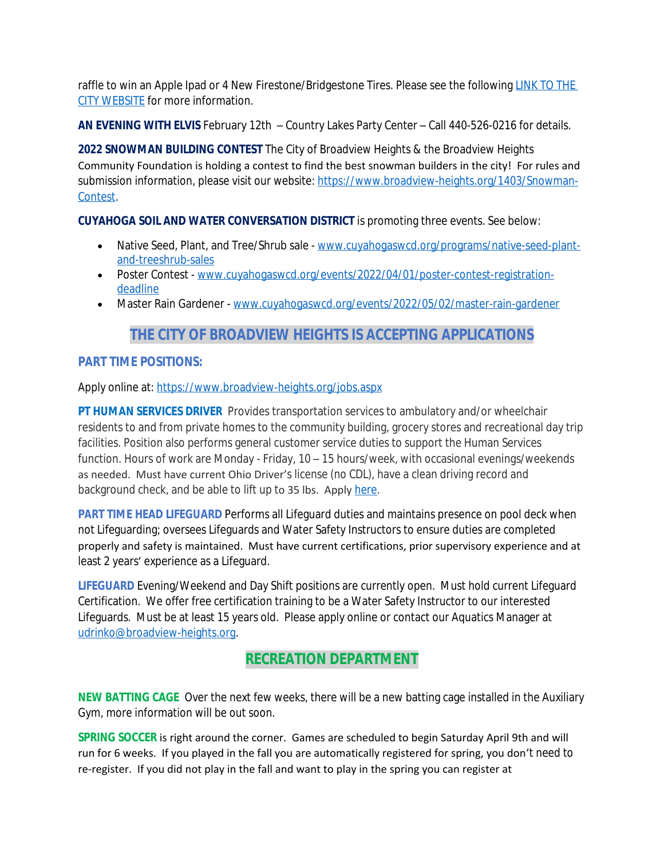raffle to win an Apple Ipad or 4 New Firestone/Bridgestone Tires. Please see the following LINK TO THE CITY WEBSITE for more information.

**AN EVENING WITH ELVIS** February 12th – Country Lakes Party Center – Call 440-526-0216 for details.

**2022 SNOWMAN BUILDING CONTEST** The City of Broadview Heights & the Broadview Heights Community Foundation is holding a contest to find the best snowman builders in the city! For rules and submission information, please visit our website: [https://www.broadview-heights.org/1403/Snowman-](https://www.broadview-heights.org/1403/Snowman-Contest)Contest.

### **CUYAHOGA SOIL AND WATER CONVERSATION DISTRICT** is promoting three events. See below:

- Native Seed, Plant, and Tree/Shrub sale - [www.cuyahogaswcd.org/programs/native-seed-plant](http://www.cuyahogaswcd.org/programs/native-seed-plant-and-treeshrub-sales)and-treeshrub-sales
- Poster Contest - [www.cuyahogaswcd.org/events/2022/04/01/poster-contest-registration](http://www.cuyahogaswcd.org/events/2022/04/01/poster-contest-registration-deadline)deadline
- Master Rain Gardener - [www.cuyahogaswcd.org/events/2022/05/02/master-rain-gardener](http://www.cuyahogaswcd.org/events/2022/05/02/master-rain-gardener)

## **THE CITY OF BROADVIEW HEIGHTS IS ACCEPTING APPLICATIONS**

### **PART TIME POSITIONS:**

Apply online at: <https://www.broadview-heights.org/jobs.aspx>

**PT HUMAN SERVICES DRIVER** Provides transportation services to ambulatory and/or wheelchair residents to and from private homes to the community building, grocery stores and recreational day trip facilities. Position also performs general customer service duties to support the Human Services function. Hours of work are Monday - Friday, 10 – 15 hours/week, with occasional evenings/weekends as needed. Must have current Ohio Driver's license (no CDL), have a clean driving record and background check, and be able to lift up to 35 lbs. Apply [here.](https://www.broadview-heights.org/Jobs.aspx?UniqueId=98&From=All&CommunityJobs=False&JobID=PartTime-Driver-Human-Services-Departmen-134)

**PART TIME HEAD LIFEGUARD** Performs all Lifeguard duties and maintains presence on pool deck when not Lifeguarding; oversees Lifeguards and Water Safety Instructors to ensure duties are completed properly and safety is maintained. Must have current certifications, prior supervisory experience and at least 2 years' experience as a Lifeguard.

**LIFEGUARD** Evening/Weekend and Day Shift positions are currently open. Must hold current Lifeguard Certification. We offer free certification training to be a Water Safety Instructor to our interested Lifeguards. Must be at least 15 years old. Please apply online or contact our Aquatics Manager at [udrinko@broadview-heights.org](mailto:udrinko@broadview-heights.org).

## **RECREATION DEPARTMENT**

**NEW BATTING CAGE** Over the next few weeks, there will be a new batting cage installed in the Auxiliary Gym, more information will be out soon.

**SPRING SOCCER** is right around the corner. Games are scheduled to begin Saturday April 9th and will run for 6 weeks. If you played in the fall you are automatically registered for spring, you don't need to re-register. If you did not play in the fall and want to play in the spring you can register at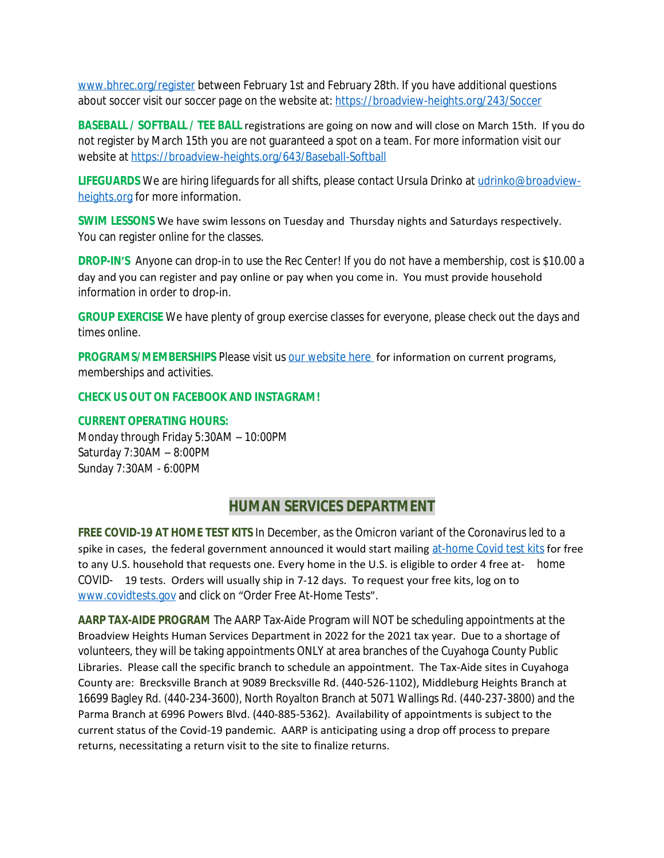www.bhrec.org/register between February 1st and February 28th. If you have additional questions about soccer visit our soccer page on the website at:<https://broadview-heights.org/243/Soccer>

**BASEBALL / SOFTBALL / TEE BALL** registrations are going on now and will close on March 15th. If you do not register by March 15th you are not guaranteed a spot on a team. For more information visit our website at<https://broadview-heights.org/643/Baseball-Softball>

**LIFEGUARDS** We are hiring lifeguards for all shifts, please contact Ursula Drinko at [udrinko@broadview](mailto:udrinko@broadview-heights.org)heights.org for more information.

**SWIM LESSONS** We have swim lessons on Tuesday and Thursday nights and Saturdays respectively. You can register online for the classes.

**DROP-IN'S** Anyone can drop-in to use the Rec Center! If you do not have a membership, cost is \$10.00 a day and you can register and pay online or pay when you come in. You must provide household information in order to drop-in.

**GROUP EXERCISE** We have plenty of group exercise classes for everyone, please check out the days and times online.

**PROGRAMS/MEMBERSHIPS** Please visit us [our website here](https://www.broadview-heights.org/292/Parks-Recreation) for information on current programs, memberships and activities.

#### **CHECK US OUT ON FACEBOOK AND INSTAGRAM!**

#### **CURRENT OPERATING HOURS:**

Monday through Friday 5:30AM – 10:00PM Saturday 7:30AM – 8:00PM Sunday 7:30AM - 6:00PM

### **HUMAN SERVICES DEPARTMENT**

**FREE COVID-19 AT HOME TEST KITS** In December, as the Omicron variant of the Coronavirus led to a spike in cases, the federal government announced it would start mailing [at-home Covid test kits](https://www.nbcnews.com/health/cold-and-flu/startling-americans-feel-increased-anxiety-covid-cases-surge-rcna9415) for free to any U.S. household that requests one. Every home in the U.S. is eligible to order 4 free at- home COVID- 19 tests. Orders will usually ship in 7-12 days. To request your free kits, log on to [www.covidtests.gov](http://www.covidtests.gov) and click on "Order Free At-Home Tests".

**AARP TAX-AIDE PROGRAM** The AARP Tax-Aide Program will NOT be scheduling appointments at the Broadview Heights Human Services Department in 2022 for the 2021 tax year. Due to a shortage of volunteers, they will be taking appointments ONLY at area branches of the Cuyahoga County Public Libraries. Please call the specific branch to schedule an appointment. The Tax-Aide sites in Cuyahoga County are: Brecksville Branch at 9089 Brecksville Rd. (440-526-1102), Middleburg Heights Branch at 16699 Bagley Rd. (440-234-3600), North Royalton Branch at 5071 Wallings Rd. (440-237-3800) and the Parma Branch at 6996 Powers Blvd. (440-885-5362). Availability of appointments is subject to the current status of the Covid-19 pandemic. AARP is anticipating using a drop off process to prepare returns, necessitating a return visit to the site to finalize returns.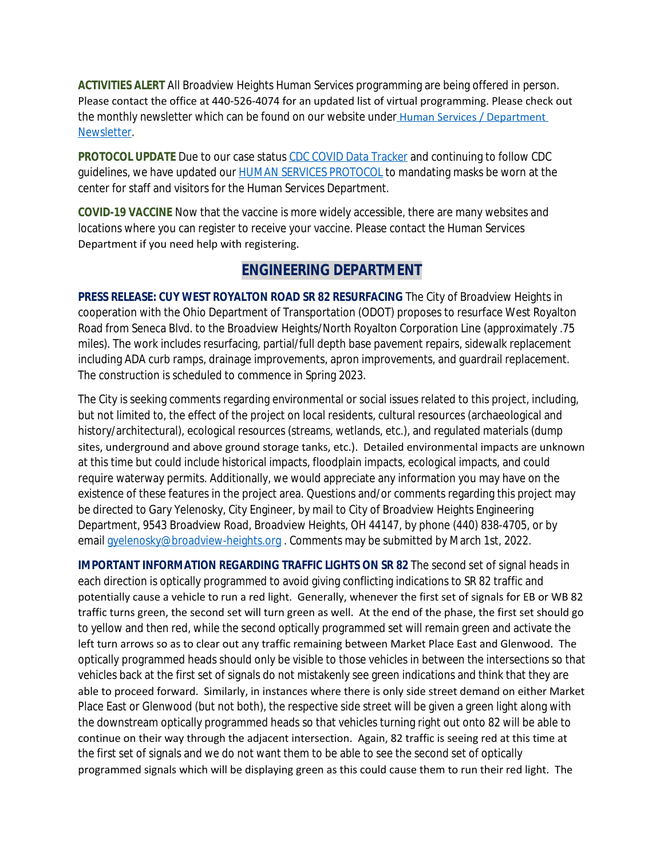**ACTIVITIES ALERT** All Broadview Heights Human Services programming are being offered in person. Please contact the office at 440-526-4074 for an updated list of virtual programming. Please check out the monthly newsletter which can be found on our website under Human Services / Department Newsletter.

**PROTOCOL UPDATE** Due to our case status [CDC COVID Data Tracker](https://covid.cdc.gov/covid-data-tracker/#county-view) and continuing to follow CDC guidelines, we have updated our **HUMAN SERVICES PROTOCOL** to mandating masks be worn at the center for staff and visitors for the Human Services Department.

**COVID-19 VACCINE** Now that the vaccine is more widely accessible, there are many websites and locations where you can register to receive your vaccine. Please contact the Human Services Department if you need help with registering.

## **ENGINEERING DEPARTMENT**

**PRESS RELEASE: CUY WEST ROYALTON ROAD SR 82 RESURFACING** The City of Broadview Heights in cooperation with the Ohio Department of Transportation (ODOT) proposes to resurface West Royalton Road from Seneca Blvd. to the Broadview Heights/North Royalton Corporation Line (approximately .75 miles). The work includes resurfacing, partial/full depth base pavement repairs, sidewalk replacement including ADA curb ramps, drainage improvements, apron improvements, and guardrail replacement. The construction is scheduled to commence in Spring 2023.

The City is seeking comments regarding environmental or social issues related to this project, including, but not limited to, the effect of the project on local residents, cultural resources (archaeological and history/architectural), ecological resources (streams, wetlands, etc.), and regulated materials (dump sites, underground and above ground storage tanks, etc.). Detailed environmental impacts are unknown at this time but could include historical impacts, floodplain impacts, ecological impacts, and could require waterway permits. Additionally, we would appreciate any information you may have on the existence of these features in the project area. Questions and/or comments regarding this project may be directed to Gary Yelenosky, City Engineer, by mail to City of Broadview Heights Engineering Department, 9543 Broadview Road, Broadview Heights, OH 44147, by phone (440) 838-4705, or by email [gyelenosky@broadview-heights.org](mailto:gyelenosky@broadview-heights.org). Comments may be submitted by March 1st, 2022.

**IMPORTANT INFORMATION REGARDING TRAFFIC LIGHTS ON SR 82** The second set of signal heads in each direction is optically programmed to avoid giving conflicting indications to SR 82 traffic and potentially cause a vehicle to run a red light. Generally, whenever the first set of signals for EB or WB 82 traffic turns green, the second set will turn green as well. At the end of the phase, the first set should go to yellow and then red, while the second optically programmed set will remain green and activate the left turn arrows so as to clear out any traffic remaining between Market Place East and Glenwood. The optically programmed heads should only be visible to those vehicles in between the intersections so that vehicles back at the first set of signals do not mistakenly see green indications and think that they are able to proceed forward. Similarly, in instances where there is only side street demand on either Market Place East or Glenwood (but not both), the respective side street will be given a green light along with the downstream optically programmed heads so that vehicles turning right out onto 82 will be able to continue on their way through the adjacent intersection. Again, 82 traffic is seeing red at this time at the first set of signals and we do not want them to be able to see the second set of optically programmed signals which will be displaying green as this could cause them to run their red light. The